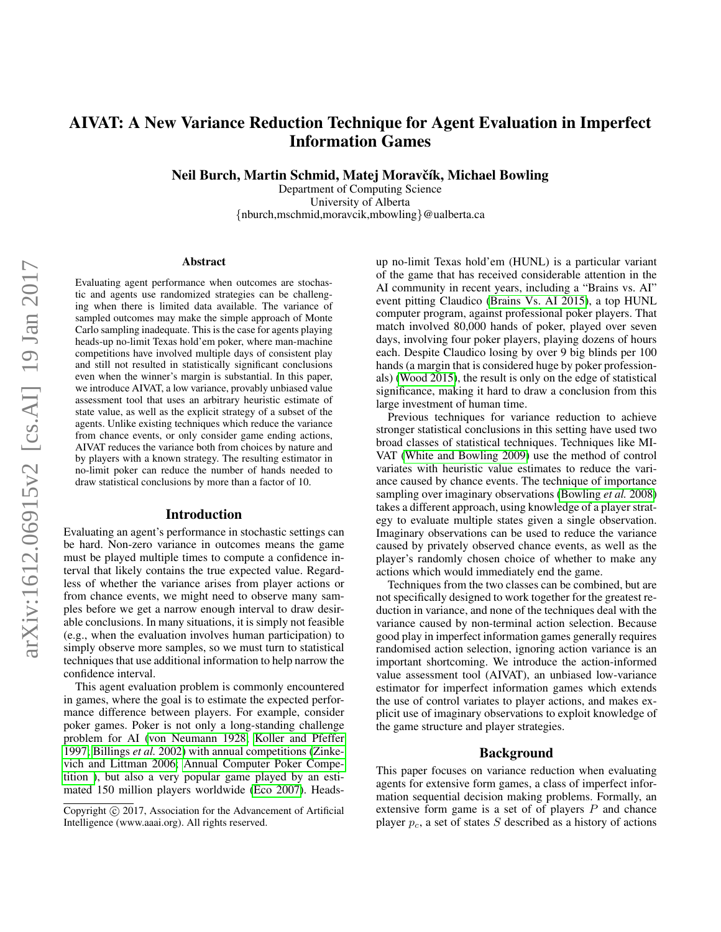# AIVAT: A New Variance Reduction Technique for Agent Evaluation in Imperfect Information Games

Neil Burch, Martin Schmid, Matej Moravčík, Michael Bowling

Department of Computing Science University of Alberta {nburch,mschmid,moravcik,mbowling}@ualberta.ca

#### Abstract

Evaluating agent performance when outcomes are stochastic and agents use randomized strategies can be challenging when there is limited data available. The variance of sampled outcomes may make the simple approach of Monte Carlo sampling inadequate. This is the case for agents playing heads-up no-limit Texas hold'em poker, where man-machine competitions have involved multiple days of consistent play and still not resulted in statistically significant conclusions even when the winner's margin is substantial. In this paper, we introduce AIVAT, a low variance, provably unbiased value assessment tool that uses an arbitrary heuristic estimate of state value, as well as the explicit strategy of a subset of the agents. Unlike existing techniques which reduce the variance from chance events, or only consider game ending actions, AIVAT reduces the variance both from choices by nature and by players with a known strategy. The resulting estimator in no-limit poker can reduce the number of hands needed to draw statistical conclusions by more than a factor of 10.

#### Introduction

Evaluating an agent's performance in stochastic settings can be hard. Non-zero variance in outcomes means the game must be played multiple times to compute a confidence interval that likely contains the true expected value. Regardless of whether the variance arises from player actions or from chance events, we might need to observe many samples before we get a narrow enough interval to draw desirable conclusions. In many situations, it is simply not feasible (e.g., when the evaluation involves human participation) to simply observe more samples, so we must turn to statistical techniques that use additional information to help narrow the confidence interval.

This agent evaluation problem is commonly encountered in games, where the goal is to estimate the expected performance difference between players. For example, consider poker games. Poker is not only a long-standing challenge problem for AI [\(von Neumann 1928;](#page-5-0) [Koller and Pfeffer](#page-5-1) [1997;](#page-5-1) [Billings](#page-5-2) *et al.* 2002) with annual competitions [\(Zinke](#page-5-3)[vich and Littman 2006;](#page-5-3) [Annual Computer Poker Compe](#page-5-4)[tition \)](#page-5-4), but also a very popular game played by an estimated 150 million players worldwide [\(Eco 2007\)](#page-5-5). Headsup no-limit Texas hold'em (HUNL) is a particular variant of the game that has received considerable attention in the AI community in recent years, including a "Brains vs. AI" event pitting Claudico [\(Brains Vs. AI 2015\)](#page-5-6), a top HUNL computer program, against professional poker players. That match involved 80,000 hands of poker, played over seven days, involving four poker players, playing dozens of hours each. Despite Claudico losing by over 9 big blinds per 100 hands (a margin that is considered huge by poker professionals) [\(Wood 2015\)](#page-5-7), the result is only on the edge of statistical significance, making it hard to draw a conclusion from this large investment of human time.

Previous techniques for variance reduction to achieve stronger statistical conclusions in this setting have used two broad classes of statistical techniques. Techniques like MI-VAT [\(White and Bowling 2009\)](#page-5-8) use the method of control variates with heuristic value estimates to reduce the variance caused by chance events. The technique of importance sampling over imaginary observations [\(Bowling](#page-5-9) *et al.* 2008) takes a different approach, using knowledge of a player strategy to evaluate multiple states given a single observation. Imaginary observations can be used to reduce the variance caused by privately observed chance events, as well as the player's randomly chosen choice of whether to make any actions which would immediately end the game.

Techniques from the two classes can be combined, but are not specifically designed to work together for the greatest reduction in variance, and none of the techniques deal with the variance caused by non-terminal action selection. Because good play in imperfect information games generally requires randomised action selection, ignoring action variance is an important shortcoming. We introduce the action-informed value assessment tool (AIVAT), an unbiased low-variance estimator for imperfect information games which extends the use of control variates to player actions, and makes explicit use of imaginary observations to exploit knowledge of the game structure and player strategies.

## Background

This paper focuses on variance reduction when evaluating agents for extensive form games, a class of imperfect information sequential decision making problems. Formally, an extensive form game is a set of of players  $P$  and chance player  $p_c$ , a set of states S described as a history of actions

Copyright  $\odot$  2017, Association for the Advancement of Artificial Intelligence (www.aaai.org). All rights reserved.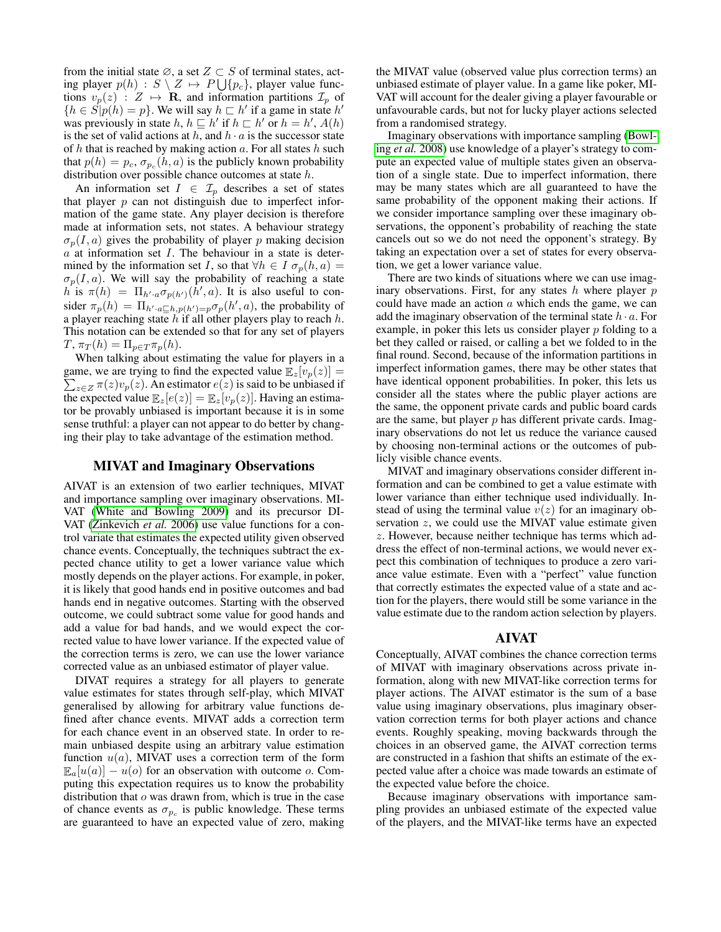from the initial state  $\emptyset$ , a set  $Z \subset S$  of terminal states, acting player  $p(h) : S \setminus Z \mapsto P \bigcup \{p_c\}$ , player value functions  $v_p(z)$  :  $Z \mapsto \mathbf{R}$ , and information partitions  $\mathcal{I}_p$  of  ${h \in S[p(h) = p]}$ . We will say  $h \sqsubset h'$  if a game in state  $h'$ was previously in state h,  $h \sqsubseteq h'$  if  $h \sqsubset h'$  or  $h = h'$ ,  $A(h)$ is the set of valid actions at h, and  $h \cdot a$  is the successor state of  $h$  that is reached by making action  $a$ . For all states  $h$  such that  $p(h) = p_c$ ,  $\sigma_{p_c}(h, a)$  is the publicly known probability distribution over possible chance outcomes at state h.

An information set  $I \in \mathcal{I}_p$  describes a set of states that player  $p$  can not distinguish due to imperfect information of the game state. Any player decision is therefore made at information sets, not states. A behaviour strategy  $\sigma_p(I, a)$  gives the probability of player p making decision  $a$  at information set  $I$ . The behaviour in a state is determined by the information set I, so that  $\forall h \in I \sigma_p(h, a) =$  $\sigma_p(I, a)$ . We will say the probability of reaching a state h is  $\pi(h) = \Pi_{h' \cdot a} \sigma_{p(h')}(h', a)$ . It is also useful to consider  $\pi_p(h) = \prod_{h' \cdot a \sqsubseteq h, p(h') = p} \sigma_p(h', a)$ , the probability of a player reaching state  $h$  if all other players play to reach  $h$ . This notation can be extended so that for any set of players  $T, \pi_T(h) = \prod_{p \in T} \pi_p(h).$ 

When talking about estimating the value for players in a  $\sum_{z \in Z} \pi(z) v_p(z)$ . An estimator  $e(z)$  is said to be unbiased if game, we are trying to find the expected value  $\mathbb{E}_{z}[v_p(z)] =$ the expected value  $\mathbb{E}_z[e(z)] = \mathbb{E}_z[v_p(z)]$ . Having an estimator be provably unbiased is important because it is in some sense truthful: a player can not appear to do better by changing their play to take advantage of the estimation method.

## MIVAT and Imaginary Observations

AIVAT is an extension of two earlier techniques, MIVAT and importance sampling over imaginary observations. MI-VAT [\(White and Bowling 2009\)](#page-5-8) and its precursor DI-VAT [\(Zinkevich](#page-6-0) *et al.* 2006) use value functions for a control variate that estimates the expected utility given observed chance events. Conceptually, the techniques subtract the expected chance utility to get a lower variance value which mostly depends on the player actions. For example, in poker, it is likely that good hands end in positive outcomes and bad hands end in negative outcomes. Starting with the observed outcome, we could subtract some value for good hands and add a value for bad hands, and we would expect the corrected value to have lower variance. If the expected value of the correction terms is zero, we can use the lower variance corrected value as an unbiased estimator of player value.

DIVAT requires a strategy for all players to generate value estimates for states through self-play, which MIVAT generalised by allowing for arbitrary value functions defined after chance events. MIVAT adds a correction term for each chance event in an observed state. In order to remain unbiased despite using an arbitrary value estimation function  $u(a)$ , MIVAT uses a correction term of the form  $\mathbb{E}_a[u(a)] - u(o)$  for an observation with outcome o. Computing this expectation requires us to know the probability distribution that  $o$  was drawn from, which is true in the case of chance events as  $\sigma_{p_c}$  is public knowledge. These terms are guaranteed to have an expected value of zero, making the MIVAT value (observed value plus correction terms) an unbiased estimate of player value. In a game like poker, MI-VAT will account for the dealer giving a player favourable or unfavourable cards, but not for lucky player actions selected from a randomised strategy.

Imaginary observations with importance sampling [\(Bowl](#page-5-9)ing *et al.* [2008\)](#page-5-9) use knowledge of a player's strategy to compute an expected value of multiple states given an observation of a single state. Due to imperfect information, there may be many states which are all guaranteed to have the same probability of the opponent making their actions. If we consider importance sampling over these imaginary observations, the opponent's probability of reaching the state cancels out so we do not need the opponent's strategy. By taking an expectation over a set of states for every observation, we get a lower variance value.

There are two kinds of situations where we can use imaginary observations. First, for any states  $h$  where player  $p$ could have made an action  $a$  which ends the game, we can add the imaginary observation of the terminal state  $h \cdot a$ . For example, in poker this lets us consider player  $p$  folding to a bet they called or raised, or calling a bet we folded to in the final round. Second, because of the information partitions in imperfect information games, there may be other states that have identical opponent probabilities. In poker, this lets us consider all the states where the public player actions are the same, the opponent private cards and public board cards are the same, but player  $p$  has different private cards. Imaginary observations do not let us reduce the variance caused by choosing non-terminal actions or the outcomes of publicly visible chance events.

MIVAT and imaginary observations consider different information and can be combined to get a value estimate with lower variance than either technique used individually. Instead of using the terminal value  $v(z)$  for an imaginary observation  $z$ , we could use the MIVAT value estimate given z. However, because neither technique has terms which address the effect of non-terminal actions, we would never expect this combination of techniques to produce a zero variance value estimate. Even with a "perfect" value function that correctly estimates the expected value of a state and action for the players, there would still be some variance in the value estimate due to the random action selection by players.

#### AIVAT

Conceptually, AIVAT combines the chance correction terms of MIVAT with imaginary observations across private information, along with new MIVAT-like correction terms for player actions. The AIVAT estimator is the sum of a base value using imaginary observations, plus imaginary observation correction terms for both player actions and chance events. Roughly speaking, moving backwards through the choices in an observed game, the AIVAT correction terms are constructed in a fashion that shifts an estimate of the expected value after a choice was made towards an estimate of the expected value before the choice.

Because imaginary observations with importance sampling provides an unbiased estimate of the expected value of the players, and the MIVAT-like terms have an expected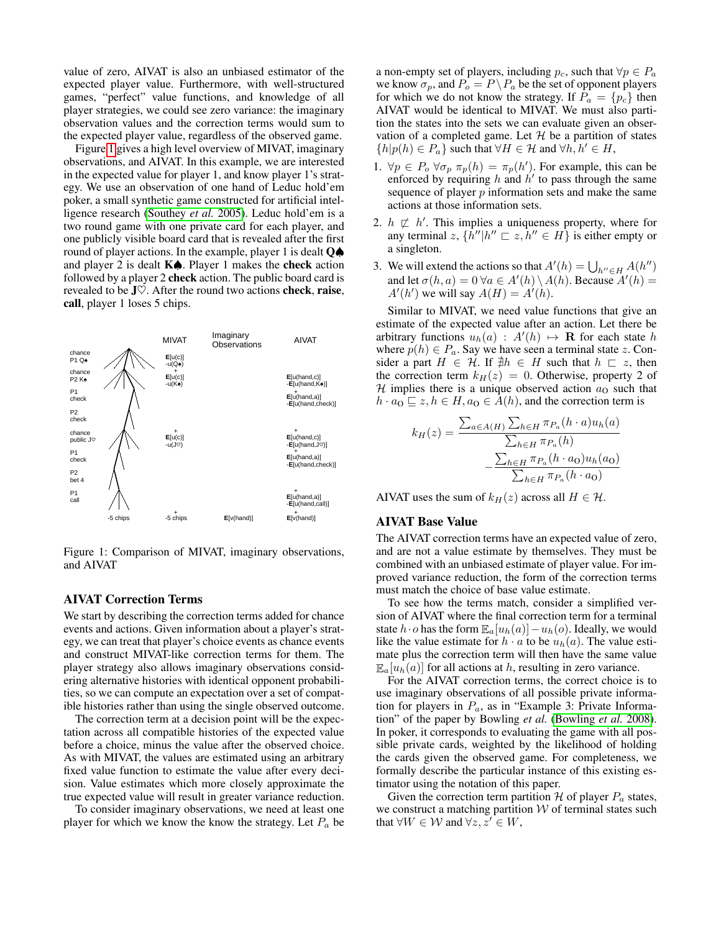value of zero, AIVAT is also an unbiased estimator of the expected player value. Furthermore, with well-structured games, "perfect" value functions, and knowledge of all player strategies, we could see zero variance: the imaginary observation values and the correction terms would sum to the expected player value, regardless of the observed game.

Figure [1](#page-2-0) gives a high level overview of MIVAT, imaginary observations, and AIVAT. In this example, we are interested in the expected value for player 1, and know player 1's strategy. We use an observation of one hand of Leduc hold'em poker, a small synthetic game constructed for artificial intelligence research [\(Southey](#page-5-10) *et al.* 2005). Leduc hold'em is a two round game with one private card for each player, and one publicly visible board card that is revealed after the first round of player actions. In the example, player 1 is dealt Q♠ and player 2 is dealt K♠. Player 1 makes the check action followed by a player 2 check action. The public board card is revealed to be  $J\heartsuit$ . After the round two actions **check**, **raise**, call, player 1 loses 5 chips.



<span id="page-2-0"></span>Figure 1: Comparison of MIVAT, imaginary observations, and AIVAT

#### AIVAT Correction Terms

We start by describing the correction terms added for chance events and actions. Given information about a player's strategy, we can treat that player's choice events as chance events and construct MIVAT-like correction terms for them. The player strategy also allows imaginary observations considering alternative histories with identical opponent probabilities, so we can compute an expectation over a set of compatible histories rather than using the single observed outcome.

The correction term at a decision point will be the expectation across all compatible histories of the expected value before a choice, minus the value after the observed choice. As with MIVAT, the values are estimated using an arbitrary fixed value function to estimate the value after every decision. Value estimates which more closely approximate the true expected value will result in greater variance reduction.

To consider imaginary observations, we need at least one player for which we know the know the strategy. Let  $P_a$  be

a non-empty set of players, including  $p_c$ , such that  $\forall p \in P_a$ we know  $\sigma_p$ , and  $P_o = P \backslash P_a$  be the set of opponent players for which we do not know the strategy. If  $P_a = \{p_c\}$  then AIVAT would be identical to MIVAT. We must also partition the states into the sets we can evaluate given an observation of a completed game. Let  $H$  be a partition of states  $\{h|p(h) \in P_a\}$  such that  $\forall H \in \mathcal{H}$  and  $\forall h, h' \in H$ ,

- 1.  $\forall p \in P_o \,\forall \sigma_p \,\pi_p(h) = \pi_p(h')$ . For example, this can be enforced by requiring h and  $h'$  to pass through the same sequence of player  $p$  information sets and make the same actions at those information sets.
- 2.  $h \not\sqsubset h'$ . This implies a uniqueness property, where for any terminal  $z$ ,  $\{\vec{h}''|h'' \sqsubset z, \vec{h}'' \in H\}$  is either empty or a singleton.
- 3. We will extend the actions so that  $A'(h) = \bigcup_{h'' \in H} A(h'')$ and let  $\sigma(h, a) = 0 \,\forall a \in A'(h) \setminus A(h)$ . Because  $A'(h) =$  $A'(h')$  we will say  $A(H) = A'(h)$ .

Similar to MIVAT, we need value functions that give an estimate of the expected value after an action. Let there be arbitrary functions  $u_h(a) : A'(h) \mapsto \mathbf{R}$  for each state h where  $p(h) \in P_a$ . Say we have seen a terminal state z. Consider a part  $H \in \mathcal{H}$ . If  $\neq h \in H$  such that  $h \subseteq z$ , then the correction term  $k_H(z) = 0$ . Otherwise, property 2 of  $H$  implies there is a unique observed action  $a<sub>0</sub>$  such that  $h \cdot a_0 \sqsubseteq z, h \in H, a_0 \in A(h)$ , and the correction term is

$$
k_H(z) = \frac{\sum_{a \in A(H)} \sum_{h \in H} \pi_{P_a}(h \cdot a) u_h(a)}{\sum_{h \in H} \pi_{P_a}(h)}
$$

$$
-\frac{\sum_{h \in H} \pi_{P_a}(h \cdot a_0) u_h(a_0)}{\sum_{h \in H} \pi_{P_a}(h \cdot a_0)}
$$

AIVAT uses the sum of  $k_H(z)$  across all  $H \in \mathcal{H}$ .

## AIVAT Base Value

The AIVAT correction terms have an expected value of zero, and are not a value estimate by themselves. They must be combined with an unbiased estimate of player value. For improved variance reduction, the form of the correction terms must match the choice of base value estimate.

To see how the terms match, consider a simplified version of AIVAT where the final correction term for a terminal state  $h \cdot o$  has the form  $\mathbb{E}_a[u_h(a)] - u_h(o)$ . Ideally, we would like the value estimate for  $h \cdot a$  to be  $u_h(a)$ . The value estimate plus the correction term will then have the same value  $\mathbb{E}_{a}[u_h(a)]$  for all actions at h, resulting in zero variance.

For the AIVAT correction terms, the correct choice is to use imaginary observations of all possible private information for players in  $P_a$ , as in "Example 3: Private Information" of the paper by Bowling *et al.* [\(Bowling](#page-5-9) *et al.* 2008). In poker, it corresponds to evaluating the game with all possible private cards, weighted by the likelihood of holding the cards given the observed game. For completeness, we formally describe the particular instance of this existing estimator using the notation of this paper.

Given the correction term partition  $H$  of player  $P_a$  states, we construct a matching partition  $W$  of terminal states such that  $\forall W \in \mathcal{W}$  and  $\forall z, z' \in W$ ,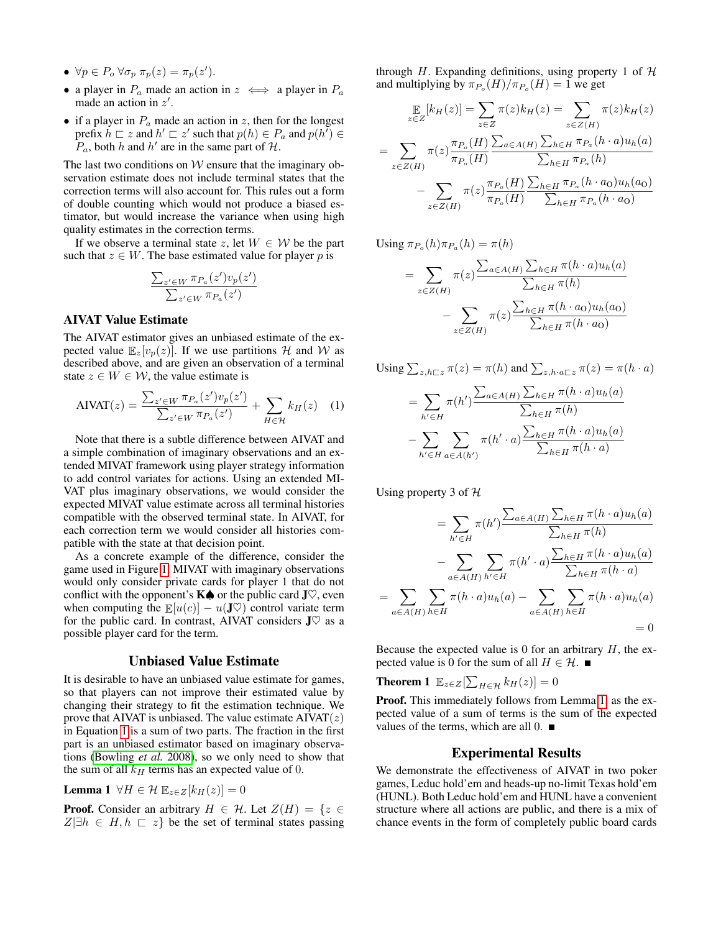- $\forall p \in P_o \,\forall \sigma_p \,\pi_p(z) = \pi_p(z').$
- a player in  $P_a$  made an action in  $z \iff a$  player in  $P_a$ made an action in  $z'$ .
- if a player in  $P_a$  made an action in z, then for the longest prefix  $h \sqsubset z$  and  $h' \sqsubset z'$  such that  $p(h) \in P_a$  and  $p(h') \in$  $P_a$ , both h and h' are in the same part of H.

The last two conditions on  $W$  ensure that the imaginary observation estimate does not include terminal states that the correction terms will also account for. This rules out a form of double counting which would not produce a biased estimator, but would increase the variance when using high quality estimates in the correction terms.

If we observe a terminal state z, let  $W \in \mathcal{W}$  be the part such that  $z \in W$ . The base estimated value for player p is

$$
\frac{\sum_{z' \in W} \pi_{P_a}(z')v_p(z')}{\sum_{z' \in W} \pi_{P_a}(z')}
$$

#### AIVAT Value Estimate

The AIVAT estimator gives an unbiased estimate of the expected value  $\mathbb{E}_{z}[v_{p}(z)]$ . If we use partitions H and W as described above, and are given an observation of a terminal state  $z \in W \in \mathcal{W}$ , the value estimate is

$$
AIVAT(z) = \frac{\sum_{z' \in W} \pi_{P_a}(z')v_p(z')}{\sum_{z' \in W} \pi_{P_a}(z')} + \sum_{H \in \mathcal{H}} k_H(z) \quad (1)
$$

Note that there is a subtle difference between AIVAT and a simple combination of imaginary observations and an extended MIVAT framework using player strategy information to add control variates for actions. Using an extended MI-VAT plus imaginary observations, we would consider the expected MIVAT value estimate across all terminal histories compatible with the observed terminal state. In AIVAT, for each correction term we would consider all histories compatible with the state at that decision point.

As a concrete example of the difference, consider the game used in Figure [1.](#page-2-0) MIVAT with imaginary observations would only consider private cards for player 1 that do not conflict with the opponent's  $K$  $\spadesuit$  or the public card J $\heartsuit$ , even when computing the  $\mathbb{E}[u(c)] - u(\mathbf{J}\heartsuit)$  control variate term for the public card. In contrast, AIVAT considers  $J\heartsuit$  as a possible player card for the term.

## Unbiased Value Estimate

It is desirable to have an unbiased value estimate for games, so that players can not improve their estimated value by changing their strategy to fit the estimation technique. We prove that AIVAT is unbiased. The value estimate  $AIVAT(z)$ in Equation [1](#page-3-0) is a sum of two parts. The fraction in the first part is an unbiased estimator based on imaginary observations [\(Bowling](#page-5-9) *et al.* 2008), so we only need to show that the sum of all  $k_H$  terms has an expected value of 0.

<span id="page-3-1"></span>**Lemma 1**  $\forall H \in \mathcal{H}$   $\mathbb{E}_{z \in Z}[k_H(z)] = 0$ 

**Proof.** Consider an arbitrary  $H \in \mathcal{H}$ . Let  $Z(H) = \{z \in$  $Z|\exists h \in H, h \sqsubset z\}$  be the set of terminal states passing through H. Expanding definitions, using property 1 of  $H$ and multiplying by  $\pi_{P_o}(H)/\pi_{P_o}(H) = 1$  we get

$$
\mathbb{E}_{z \in Z}[k_H(z)] = \sum_{z \in Z} \pi(z)k_H(z) = \sum_{z \in Z(H)} \pi(z)k_H(z)
$$

$$
= \sum_{z \in Z(H)} \pi(z) \frac{\pi_{P_o}(H)}{\pi_{P_o}(H)} \frac{\sum_{a \in A(H)} \sum_{h \in H} \pi_{P_a}(h \cdot a)u_h(a)}{\sum_{h \in H} \pi_{P_a}(h)}
$$

$$
- \sum_{z \in Z(H)} \pi(z) \frac{\pi_{P_o}(H)}{\pi_{P_o}(H)} \frac{\sum_{h \in H} \pi_{P_a}(h \cdot a_0)u_h(a_0)}{\sum_{h \in H} \pi_{P_a}(h \cdot a_0)}
$$

Using  $\pi_{P_o}(h) \pi_{P_a}(h) = \pi(h)$ 

$$
= \sum_{z \in Z(H)} \pi(z) \frac{\sum_{a \in A(H)} \sum_{h \in H} \pi(h \cdot a) u_h(a)}{\sum_{h \in H} \pi(h)} - \sum_{z \in Z(H)} \pi(z) \frac{\sum_{h \in H} \pi(h \cdot a_0) u_h(a_0)}{\sum_{h \in H} \pi(h \cdot a_0)}
$$

<span id="page-3-0"></span>Using 
$$
\sum_{z,h\sqsubset z} \pi(z) = \pi(h)
$$
 and  $\sum_{z,h\cdot a\sqsubset z} \pi(z) = \pi(h\cdot a)$   
\n
$$
= \sum_{h'\in H} \pi(h') \frac{\sum_{a\in A(H)} \sum_{h\in H} \pi(h\cdot a) u_h(a)}{\sum_{h\in H} \pi(h)} - \sum_{h'\in H} \sum_{a\in A(h')} \pi(h'\cdot a) \frac{\sum_{h\in H} \pi(h\cdot a) u_h(a)}{\sum_{h\in H} \pi(h\cdot a)}
$$

Using property 3 of  $H$ 

$$
= \sum_{h' \in H} \pi(h') \frac{\sum_{a \in A(H)} \sum_{h \in H} \pi(h \cdot a) u_h(a)}{\sum_{h \in H} \pi(h)}
$$

$$
- \sum_{a \in A(H)} \sum_{h' \in H} \pi(h' \cdot a) \frac{\sum_{h \in H} \pi(h \cdot a) u_h(a)}{\sum_{h \in H} \pi(h \cdot a)}
$$

$$
= \sum_{a \in A(H)} \sum_{h \in H} \pi(h \cdot a) u_h(a) - \sum_{a \in A(H)} \sum_{h \in H} \pi(h \cdot a) u_h(a)
$$

$$
= 0
$$

Because the expected value is 0 for an arbitrary  $H$ , the expected value is 0 for the sum of all  $H \in \mathcal{H}$ .

**Theorem 1**  $\mathbb{E}_{z \in Z}[\sum_{H \in \mathcal{H}} k_H(z)] = 0$ 

Proof. This immediately follows from Lemma [1,](#page-3-1) as the expected value of a sum of terms is the sum of the expected values of the terms, which are all  $0$ .

### Experimental Results

We demonstrate the effectiveness of AIVAT in two poker games, Leduc hold'em and heads-up no-limit Texas hold'em (HUNL). Both Leduc hold'em and HUNL have a convenient structure where all actions are public, and there is a mix of chance events in the form of completely public board cards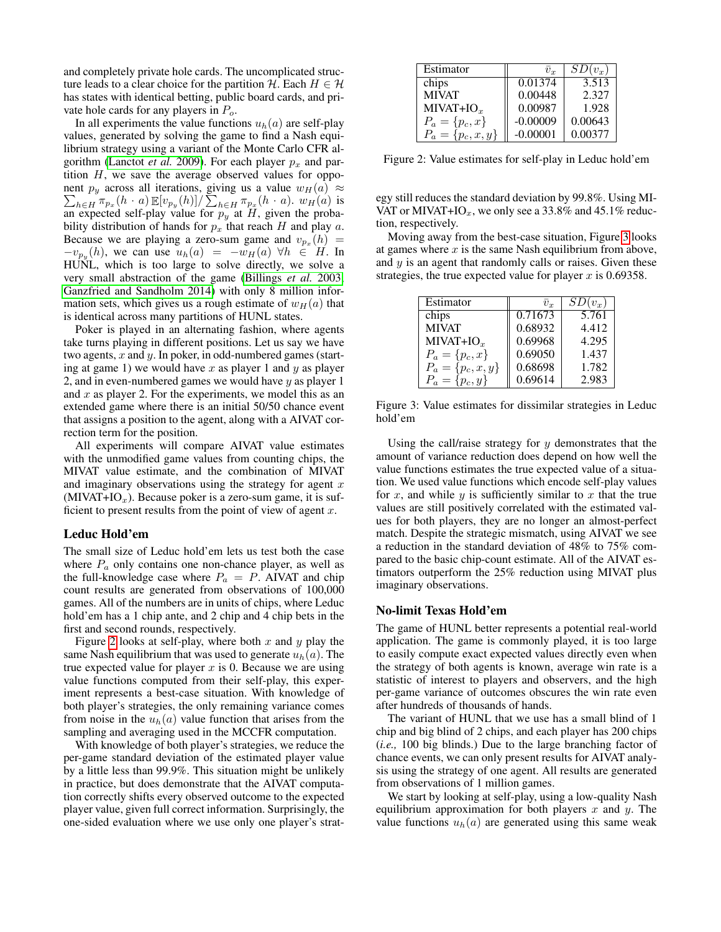and completely private hole cards. The uncomplicated structure leads to a clear choice for the partition H. Each  $H \in \mathcal{H}$ has states with identical betting, public board cards, and private hole cards for any players in  $P<sub>o</sub>$ .

In all experiments the value functions  $u_h(a)$  are self-play values, generated by solving the game to find a Nash equilibrium strategy using a variant of the Monte Carlo CFR al-gorithm [\(Lanctot](#page-5-11) *et al.* 2009). For each player  $p_x$  and partition  $H$ , we save the average observed values for oppo- $\sum_{h\in H} \pi_{p_x}(h \cdot a) \mathbb{E}[v_{p_y}(h)] / \sum_{h\in H} \pi_{p_x}(h \cdot a)$ .  $w_H(a)$  is nent  $p_y$  across all iterations, giving us a value  $w_H(a) \approx$ an expected self-play value for  $p_y$  at H, given the probability distribution of hands for  $p_x$  that reach H and play a. Because we are playing a zero-sum game and  $v_{p_x}(h)$  =  $-v_{p_y}(h)$ , we can use  $u_h(a) = -w_H(a) \forall h \in H$ . In HUNL, which is too large to solve directly, we solve a very small abstraction of the game [\(Billings](#page-5-12) *et al.* 2003; [Ganzfried and Sandholm 2014\)](#page-5-13) with only 8 million information sets, which gives us a rough estimate of  $w_H(a)$  that is identical across many partitions of HUNL states.

Poker is played in an alternating fashion, where agents take turns playing in different positions. Let us say we have two agents,  $x$  and  $y$ . In poker, in odd-numbered games (starting at game 1) we would have x as player 1 and y as player 2, and in even-numbered games we would have  $y$  as player 1 and  $x$  as player 2. For the experiments, we model this as an extended game where there is an initial 50/50 chance event that assigns a position to the agent, along with a AIVAT correction term for the position.

All experiments will compare AIVAT value estimates with the unmodified game values from counting chips, the MIVAT value estimate, and the combination of MIVAT and imaginary observations using the strategy for agent  $x$  $(MIVAT+IO<sub>x</sub>)$ . Because poker is a zero-sum game, it is sufficient to present results from the point of view of agent  $x$ .

#### Leduc Hold'em

The small size of Leduc hold'em lets us test both the case where  $P_a$  only contains one non-chance player, as well as the full-knowledge case where  $P_a = P$ . AIVAT and chip count results are generated from observations of 100,000 games. All of the numbers are in units of chips, where Leduc hold'em has a 1 chip ante, and 2 chip and 4 chip bets in the first and second rounds, respectively.

Figure [2](#page-4-0) looks at self-play, where both x and y play the same Nash equilibrium that was used to generate  $u_h(a)$ . The true expected value for player  $x$  is 0. Because we are using value functions computed from their self-play, this experiment represents a best-case situation. With knowledge of both player's strategies, the only remaining variance comes from noise in the  $u_h(a)$  value function that arises from the sampling and averaging used in the MCCFR computation.

With knowledge of both player's strategies, we reduce the per-game standard deviation of the estimated player value by a little less than 99.9%. This situation might be unlikely in practice, but does demonstrate that the AIVAT computation correctly shifts every observed outcome to the expected player value, given full correct information. Surprisingly, the one-sided evaluation where we use only one player's strat-

| Estimator             | $\bar{v}_r$ | $\overline{SD(v_x)}$ |
|-----------------------|-------------|----------------------|
| chips                 | 0.01374     | 3.513                |
| <b>MIVAT</b>          | 0.00448     | 2.327                |
| $MIVAT+IOx$           | 0.00987     | 1.928                |
| $P_a = \{p_c, x\}$    | $-0.00009$  | 0.00643              |
| $P_a = \{p_c, x, y\}$ | $-0.00001$  | 0.00377              |

<span id="page-4-0"></span>Figure 2: Value estimates for self-play in Leduc hold'em

egy still reduces the standard deviation by 99.8%. Using MI-VAT or MIVAT+IO<sub>x</sub>, we only see a 33.8% and 45.1% reduction, respectively.

Moving away from the best-case situation, Figure [3](#page-4-1) looks at games where  $x$  is the same Nash equilibrium from above, and y is an agent that randomly calls or raises. Given these strategies, the true expected value for player  $x$  is 0.69358.

| <b>Estimator</b>      | $\overline{v}_r$ | $SD(v_x)$ |
|-----------------------|------------------|-----------|
| chips                 | 0.71673          | 5.761     |
| <b>MIVAT</b>          | 0.68932          | 4.412     |
| $MIVAT+IOx$           | 0.69968          | 4.295     |
| $P_a = \{p_c, x\}$    | 0.69050          | 1.437     |
| $P_a = \{p_c, x, y\}$ | 0.68698          | 1.782     |
| $P_a = \{p_c, y\}$    | 0.69614          | 2.983     |

<span id="page-4-1"></span>Figure 3: Value estimates for dissimilar strategies in Leduc hold'em

Using the call/raise strategy for  $y$  demonstrates that the amount of variance reduction does depend on how well the value functions estimates the true expected value of a situation. We used value functions which encode self-play values for x, and while  $y$  is sufficiently similar to  $x$  that the true values are still positively correlated with the estimated values for both players, they are no longer an almost-perfect match. Despite the strategic mismatch, using AIVAT we see a reduction in the standard deviation of 48% to 75% compared to the basic chip-count estimate. All of the AIVAT estimators outperform the 25% reduction using MIVAT plus imaginary observations.

#### No-limit Texas Hold'em

The game of HUNL better represents a potential real-world application. The game is commonly played, it is too large to easily compute exact expected values directly even when the strategy of both agents is known, average win rate is a statistic of interest to players and observers, and the high per-game variance of outcomes obscures the win rate even after hundreds of thousands of hands.

The variant of HUNL that we use has a small blind of 1 chip and big blind of 2 chips, and each player has 200 chips (*i.e.,* 100 big blinds.) Due to the large branching factor of chance events, we can only present results for AIVAT analysis using the strategy of one agent. All results are generated from observations of 1 million games.

We start by looking at self-play, using a low-quality Nash equilibrium approximation for both players  $x$  and  $y$ . The value functions  $u_h(a)$  are generated using this same weak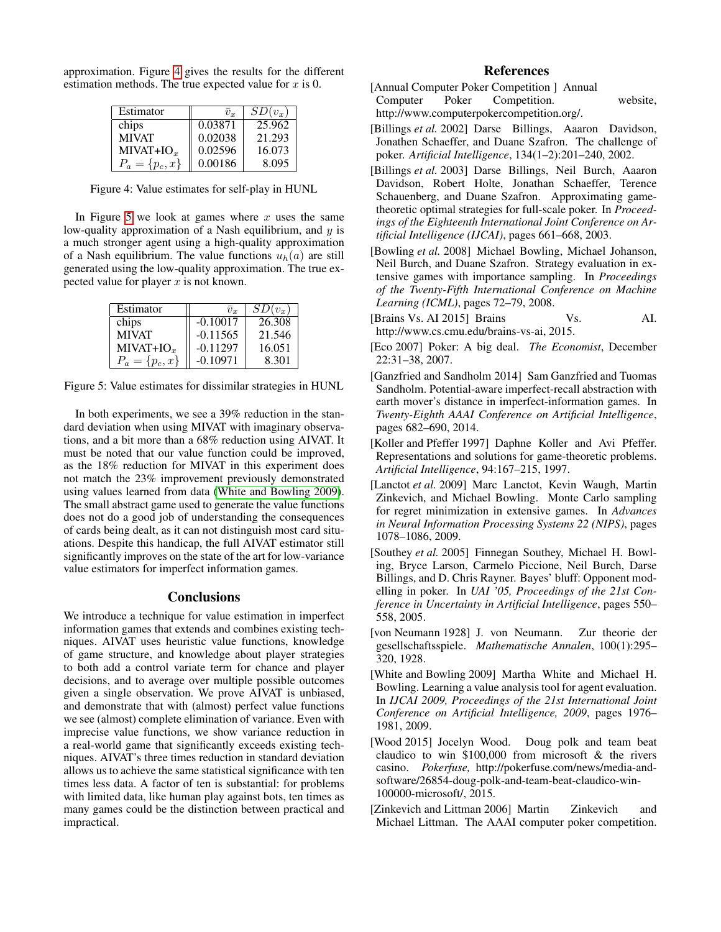approximation. Figure [4](#page-5-14) gives the results for the different estimation methods. The true expected value for  $x$  is 0.

| Estimator          | $\overline{v}_r$ | $SD(v_x)$ |
|--------------------|------------------|-----------|
| chips              | 0.03871          | 25.962    |
| <b>MIVAT</b>       | 0.02038          | 21.293    |
| $MIVAT+IOx$        | 0.02596          | 16.073    |
| $P_a = \{p_c, x\}$ | 0.00186          | 8.095     |

<span id="page-5-14"></span>Figure 4: Value estimates for self-play in HUNL

In Figure [5](#page-5-15) we look at games where  $x$  uses the same low-quality approximation of a Nash equilibrium, and  $y$  is a much stronger agent using a high-quality approximation of a Nash equilibrium. The value functions  $u_h(a)$  are still generated using the low-quality approximation. The true expected value for player  $x$  is not known.

| Estimator          | $\overline{v}_r$ | $\overline{SD}(v_x)$ |
|--------------------|------------------|----------------------|
| chips              | $-0.10017$       | 26.308               |
| <b>MIVAT</b>       | $-0.11565$       | 21.546               |
| $MIVAT+IOx$        | $-0.11297$       | 16.051               |
| $P_a = \{p_c, x\}$ | $-0.10971$       | 8.301                |

<span id="page-5-15"></span>Figure 5: Value estimates for dissimilar strategies in HUNL

In both experiments, we see a 39% reduction in the standard deviation when using MIVAT with imaginary observations, and a bit more than a 68% reduction using AIVAT. It must be noted that our value function could be improved, as the 18% reduction for MIVAT in this experiment does not match the 23% improvement previously demonstrated using values learned from data [\(White and Bowling 2009\)](#page-5-8). The small abstract game used to generate the value functions does not do a good job of understanding the consequences of cards being dealt, as it can not distinguish most card situations. Despite this handicap, the full AIVAT estimator still significantly improves on the state of the art for low-variance value estimators for imperfect information games.

# **Conclusions**

We introduce a technique for value estimation in imperfect information games that extends and combines existing techniques. AIVAT uses heuristic value functions, knowledge of game structure, and knowledge about player strategies to both add a control variate term for chance and player decisions, and to average over multiple possible outcomes given a single observation. We prove AIVAT is unbiased, and demonstrate that with (almost) perfect value functions we see (almost) complete elimination of variance. Even with imprecise value functions, we show variance reduction in a real-world game that significantly exceeds existing techniques. AIVAT's three times reduction in standard deviation allows us to achieve the same statistical significance with ten times less data. A factor of ten is substantial: for problems with limited data, like human play against bots, ten times as many games could be the distinction between practical and impractical.

# References

- <span id="page-5-4"></span>[Annual Computer Poker Competition ] Annual Computer Poker Competition. website, http://www.computerpokercompetition.org/.
- <span id="page-5-2"></span>[Billings *et al.* 2002] Darse Billings, Aaaron Davidson, Jonathen Schaeffer, and Duane Szafron. The challenge of poker. *Artificial Intelligence*, 134(1–2):201–240, 2002.
- <span id="page-5-12"></span>[Billings *et al.* 2003] Darse Billings, Neil Burch, Aaaron Davidson, Robert Holte, Jonathan Schaeffer, Terence Schauenberg, and Duane Szafron. Approximating gametheoretic optimal strategies for full-scale poker. In *Proceedings of the Eighteenth International Joint Conference on Artificial Intelligence (IJCAI)*, pages 661–668, 2003.
- <span id="page-5-9"></span>[Bowling *et al.* 2008] Michael Bowling, Michael Johanson, Neil Burch, and Duane Szafron. Strategy evaluation in extensive games with importance sampling. In *Proceedings of the Twenty-Fifth International Conference on Machine Learning (ICML)*, pages 72–79, 2008.
- <span id="page-5-6"></span>[Brains Vs. AI 2015] Brains Vs. AI. http://www.cs.cmu.edu/brains-vs-ai, 2015.
- <span id="page-5-5"></span>[Eco 2007] Poker: A big deal. *The Economist*, December 22:31–38, 2007.
- <span id="page-5-13"></span>[Ganzfried and Sandholm 2014] Sam Ganzfried and Tuomas Sandholm. Potential-aware imperfect-recall abstraction with earth mover's distance in imperfect-information games. In *Twenty-Eighth AAAI Conference on Artificial Intelligence*, pages 682–690, 2014.
- <span id="page-5-1"></span>[Koller and Pfeffer 1997] Daphne Koller and Avi Pfeffer. Representations and solutions for game-theoretic problems. *Artificial Intelligence*, 94:167–215, 1997.
- <span id="page-5-11"></span>[Lanctot *et al.* 2009] Marc Lanctot, Kevin Waugh, Martin Zinkevich, and Michael Bowling. Monte Carlo sampling for regret minimization in extensive games. In *Advances in Neural Information Processing Systems 22 (NIPS)*, pages 1078–1086, 2009.
- <span id="page-5-10"></span>[Southey *et al.* 2005] Finnegan Southey, Michael H. Bowling, Bryce Larson, Carmelo Piccione, Neil Burch, Darse Billings, and D. Chris Rayner. Bayes' bluff: Opponent modelling in poker. In *UAI '05, Proceedings of the 21st Conference in Uncertainty in Artificial Intelligence*, pages 550– 558, 2005.
- <span id="page-5-0"></span>[von Neumann 1928] J. von Neumann. Zur theorie der gesellschaftsspiele. *Mathematische Annalen*, 100(1):295– 320, 1928.
- <span id="page-5-8"></span>[White and Bowling 2009] Martha White and Michael H. Bowling. Learning a value analysis tool for agent evaluation. In *IJCAI 2009, Proceedings of the 21st International Joint Conference on Artificial Intelligence, 2009*, pages 1976– 1981, 2009.
- <span id="page-5-7"></span>[Wood 2015] Jocelyn Wood. Doug polk and team beat claudico to win \$100,000 from microsoft & the rivers casino. *Pokerfuse,* http://pokerfuse.com/news/media-andsoftware/26854-doug-polk-and-team-beat-claudico-win-100000-microsoft/, 2015.
- <span id="page-5-3"></span>[Zinkevich and Littman 2006] Martin Zinkevich and Michael Littman. The AAAI computer poker competition.